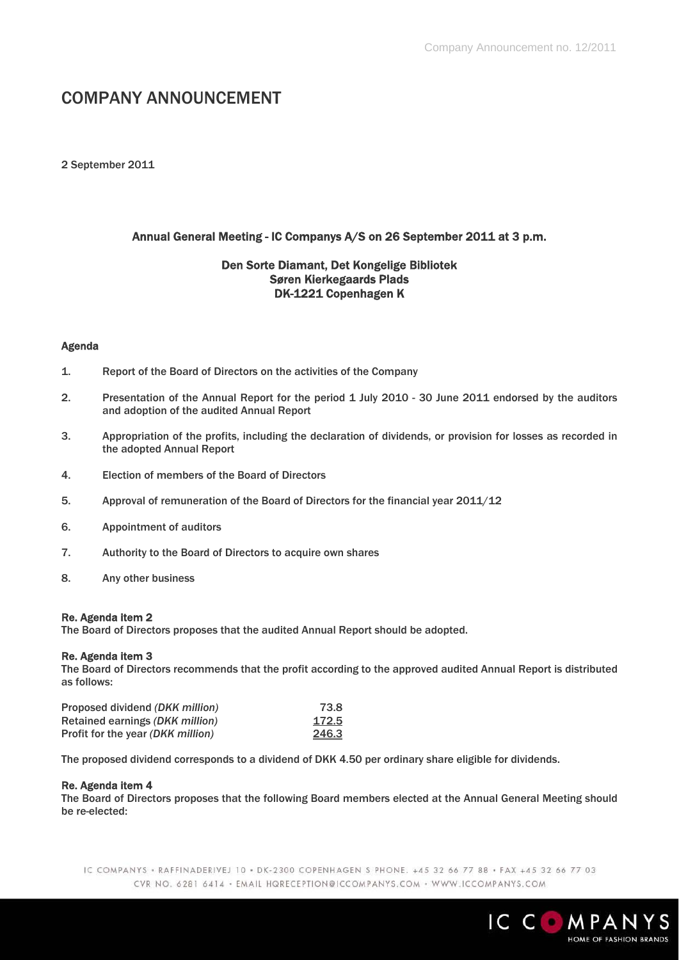# COMPANY ANNOUNCEMENT

2 September 2011

# Annual General Meeting - IC Companys A/S on 26 September 2011 at 3 p.m.

## Den Sorte Diamant, Det Kongelige Bibliotek Søren Kierkegaards Plads DK-1221 Copenhagen K

#### Agenda

- 1. Report of the Board of Directors on the activities of the Company
- 2. Presentation of the Annual Report for the period 1 July 2010 30 June 2011 endorsed by the auditors and adoption of the audited Annual Report
- 3. Appropriation of the profits, including the declaration of dividends, or provision for losses as recorded in the adopted Annual Report
- 4. Election of members of the Board of Directors
- 5. Approval of remuneration of the Board of Directors for the financial year 2011/12
- 6. Appointment of auditors
- 7. Authority to the Board of Directors to acquire own shares
- 8. Any other business

#### Re. Agenda item 2

The Board of Directors proposes that the audited Annual Report should be adopted.

## Re. Agenda item 3

The Board of Directors recommends that the profit according to the approved audited Annual Report is distributed as follows:

| Proposed dividend (DKK million)   | 73.8  |
|-----------------------------------|-------|
| Retained earnings (DKK million)   | 172.5 |
| Profit for the year (DKK million) | 246.3 |

The proposed dividend corresponds to a dividend of DKK 4.50 per ordinary share eligible for dividends.

#### Re. Agenda item 4

The Board of Directors proposes that the following Board members elected at the Annual General Meeting should be re-elected:

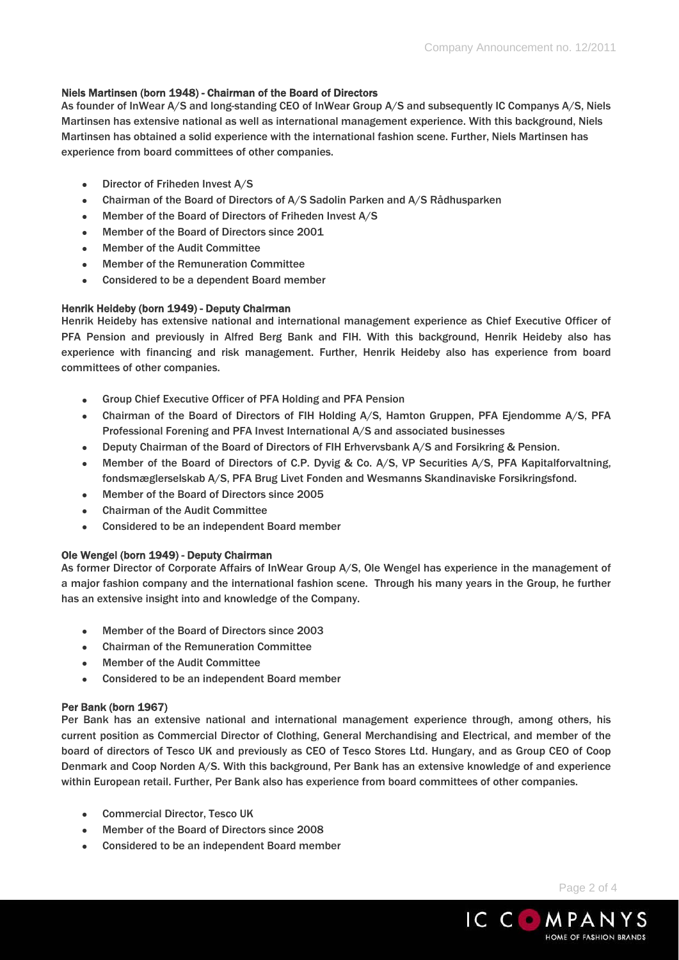## Niels Martinsen (born 1948) - Chairman of the Board of Directors

As founder of InWear A/S and long-standing CEO of InWear Group A/S and subsequently IC Companys A/S, Niels Martinsen has extensive national as well as international management experience. With this background, Niels Martinsen has obtained a solid experience with the international fashion scene. Further, Niels Martinsen has experience from board committees of other companies.

- Director of Friheden Invest A/S
- Chairman of the Board of Directors of A/S Sadolin Parken and A/S Rådhusparken
- Member of the Board of Directors of Friheden Invest A/S
- Member of the Board of Directors since 2001
- Member of the Audit Committee
- Member of the Remuneration Committee
- Considered to be a dependent Board member

## Henrik Heideby (born 1949) - Deputy Chairman

Henrik Heideby has extensive national and international management experience as Chief Executive Officer of PFA Pension and previously in Alfred Berg Bank and FIH. With this background, Henrik Heideby also has experience with financing and risk management. Further, Henrik Heideby also has experience from board committees of other companies.

- Group Chief Executive Officer of PFA Holding and PFA Pension
- Chairman of the Board of Directors of FIH Holding A/S, Hamton Gruppen, PFA Ejendomme A/S, PFA Professional Forening and PFA Invest International A/S and associated businesses
- Deputy Chairman of the Board of Directors of FIH Erhvervsbank A/S and Forsikring & Pension.
- Member of the Board of Directors of C.P. Dyvig & Co. A/S, VP Securities A/S, PFA Kapitalforvaltning, fondsmæglerselskab A/S, PFA Brug Livet Fonden and Wesmanns Skandinaviske Forsikringsfond.
- Member of the Board of Directors since 2005
- Chairman of the Audit Committee
- Considered to be an independent Board member

## Ole Wengel (born 1949) - Deputy Chairman

As former Director of Corporate Affairs of InWear Group A/S, Ole Wengel has experience in the management of a major fashion company and the international fashion scene. Through his many years in the Group, he further has an extensive insight into and knowledge of the Company.

- Member of the Board of Directors since 2003
- Chairman of the Remuneration Committee
- Member of the Audit Committee
- Considered to be an independent Board member

## Per Bank (born 1967)

Per Bank has an extensive national and international management experience through, among others, his current position as Commercial Director of Clothing, General Merchandising and Electrical, and member of the board of directors of Tesco UK and previously as CEO of Tesco Stores Ltd. Hungary, and as Group CEO of Coop Denmark and Coop Norden A/S. With this background, Per Bank has an extensive knowledge of and experience within European retail. Further, Per Bank also has experience from board committees of other companies.

- Commercial Director, Tesco UK
- Member of the Board of Directors since 2008
- Considered to be an independent Board member

Page 2 of 4

HOME OF FASHION BRANDS

IC COMPANYS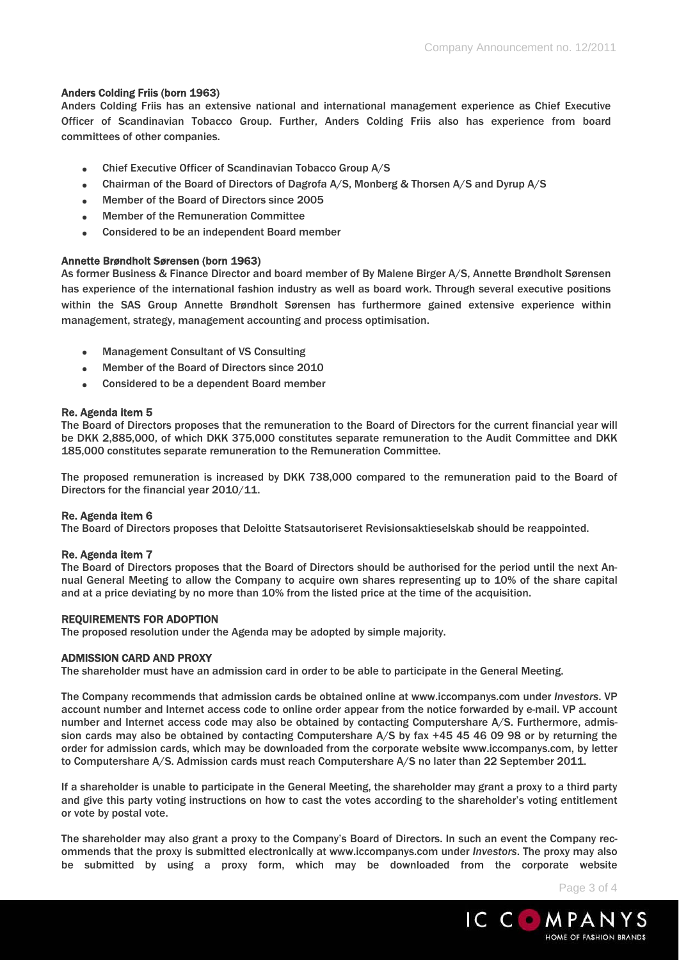## Anders Colding Friis (born 1963)

Anders Colding Friis has an extensive national and international management experience as Chief Executive Officer of Scandinavian Tobacco Group. Further, Anders Colding Friis also has experience from board committees of other companies.

- Chief Executive Officer of Scandinavian Tobacco Group A/S
- Chairman of the Board of Directors of Dagrofa A/S, Monberg & Thorsen A/S and Dyrup A/S
- Member of the Board of Directors since 2005
- Member of the Remuneration Committee
- Considered to be an independent Board member

#### Annette Brøndholt Sørensen (born 1963)

As former Business & Finance Director and board member of By Malene Birger A/S, Annette Brøndholt Sørensen has experience of the international fashion industry as well as board work. Through several executive positions within the SAS Group Annette Brøndholt Sørensen has furthermore gained extensive experience within management, strategy, management accounting and process optimisation.

- Management Consultant of VS Consulting
- Member of the Board of Directors since 2010
- Considered to be a dependent Board member

#### Re. Agenda item 5

The Board of Directors proposes that the remuneration to the Board of Directors for the current financial year will be DKK 2,885,000, of which DKK 375,000 constitutes separate remuneration to the Audit Committee and DKK 185,000 constitutes separate remuneration to the Remuneration Committee.

The proposed remuneration is increased by DKK 738,000 compared to the remuneration paid to the Board of Directors for the financial year 2010/11.

#### Re. Agenda item 6

The Board of Directors proposes that Deloitte Statsautoriseret Revisionsaktieselskab should be reappointed.

#### Re. Agenda item 7

The Board of Directors proposes that the Board of Directors should be authorised for the period until the next Annual General Meeting to allow the Company to acquire own shares representing up to 10% of the share capital and at a price deviating by no more than 10% from the listed price at the time of the acquisition.

#### REQUIREMENTS FOR ADOPTION

The proposed resolution under the Agenda may be adopted by simple majority.

#### ADMISSION CARD AND PROXY

The shareholder must have an admission card in order to be able to participate in the General Meeting.

The Company recommends that admission cards be obtained online at www.iccompanys.com under *Investors*. VP account number and Internet access code to online order appear from the notice forwarded by e-mail. VP account number and Internet access code may also be obtained by contacting Computershare A/S. Furthermore, admission cards may also be obtained by contacting Computershare A/S by fax +45 45 46 09 98 or by returning the order for admission cards, which may be downloaded from the corporate website www.iccompanys.com, by letter to Computershare A/S. Admission cards must reach Computershare A/S no later than 22 September 2011.

If a shareholder is unable to participate in the General Meeting, the shareholder may grant a proxy to a third party and give this party voting instructions on how to cast the votes according to the shareholder's voting entitlement or vote by postal vote.

The shareholder may also grant a proxy to the Company's Board of Directors. In such an event the Company recommends that the proxy is submitted electronically at www.iccompanys.com under *Investors*. The proxy may also be submitted by using a proxy form, which may be downloaded from the corporate website

Page 3 of 4